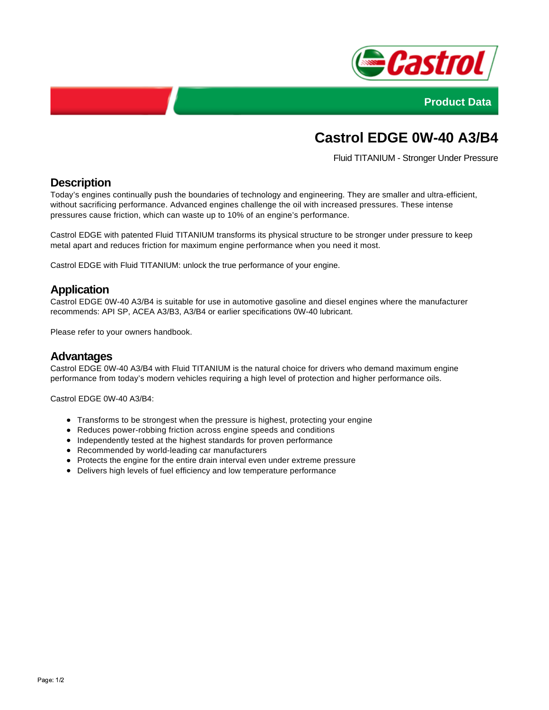



# **Castrol EDGE 0W-40 A3/B4**

Fluid TITANIUM - Stronger Under Pressure

# **Description**

Today's engines continually push the boundaries of technology and engineering. They are smaller and ultra-efficient, without sacrificing performance. Advanced engines challenge the oil with increased pressures. These intense pressures cause friction, which can waste up to 10% of an engine's performance.

Castrol EDGE with patented Fluid TITANIUM transforms its physical structure to be stronger under pressure to keep metal apart and reduces friction for maximum engine performance when you need it most.

Castrol EDGE with Fluid TITANIUM: unlock the true performance of your engine.

## **Application**

Castrol EDGE 0W-40 A3/B4 is suitable for use in automotive gasoline and diesel engines where the manufacturer recommends: API SP, ACEA A3/B3, A3/B4 or earlier specifications 0W-40 lubricant.

Please refer to your owners handbook.

#### **Advantages**

Castrol EDGE 0W-40 A3/B4 with Fluid TITANIUM is the natural choice for drivers who demand maximum engine performance from today's modern vehicles requiring a high level of protection and higher performance oils.

Castrol EDGE 0W-40 A3/B4:

- Transforms to be strongest when the pressure is highest, protecting your engine
- Reduces power-robbing friction across engine speeds and conditions
- Independently tested at the highest standards for proven performance
- Recommended by world-leading car manufacturers
- Protects the engine for the entire drain interval even under extreme pressure
- Delivers high levels of fuel efficiency and low temperature performance